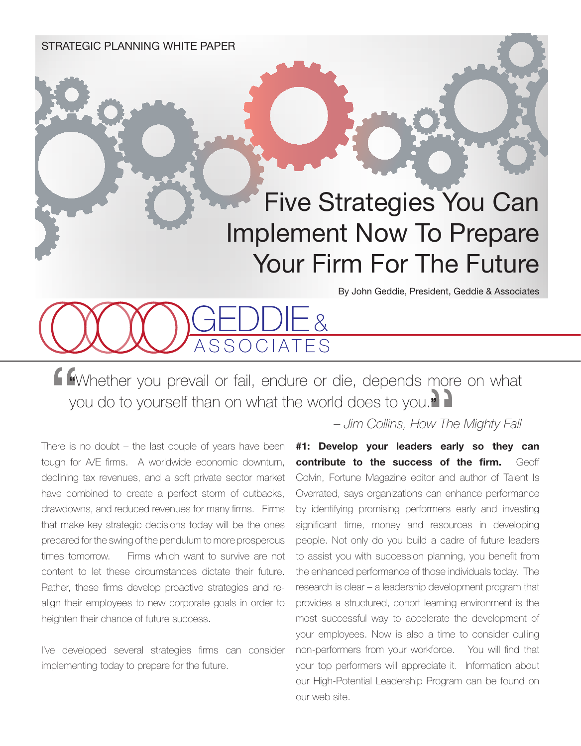STRATEGIC PLANNING WHITE PAPER

## Five Strategies You Can Implement Now To Prepare Your Firm For The Future

By John Geddie, President, Geddie & Associates

**"**Whether you prevail or fail, endure or die, depends more on what you do to yourself than on what the world does to you.**"**

 $-8$ 

There is no doubt  $-$  the last couple of years have been tough for A/E firms. A worldwide economic downturn, declining tax revenues, and a soft private sector market have combined to create a perfect storm of cutbacks, drawdowns, and reduced revenues for many firms. Firms that make key strategic decisions today will be the ones prepared for the swing of the pendulum to more prosperous times tomorrow. Firms which want to survive are not content to let these circumstances dictate their future. Rather, these firms develop proactive strategies and realign their employees to new corporate goals in order to heighten their chance of future success.

I've developed several strategies firms can consider implementing today to prepare for the future.

## *– Jim Collins, How The Mighty Fall*

**#1: Develop your leaders early so they can contribute to the success of the firm.** Geoff Colvin, Fortune Magazine editor and author of Talent Is Overrated, says organizations can enhance performance by identifying promising performers early and investing significant time, money and resources in developing people. Not only do you build a cadre of future leaders to assist you with succession planning, you benefit from the enhanced performance of those individuals today. The research is clear – a leadership development program that provides a structured, cohort learning environment is the most successful way to accelerate the development of your employees. Now is also a time to consider culling non-performers from your workforce. You will find that your top performers will appreciate it. Information about our High-Potential Leadership Program can be found on our web site.